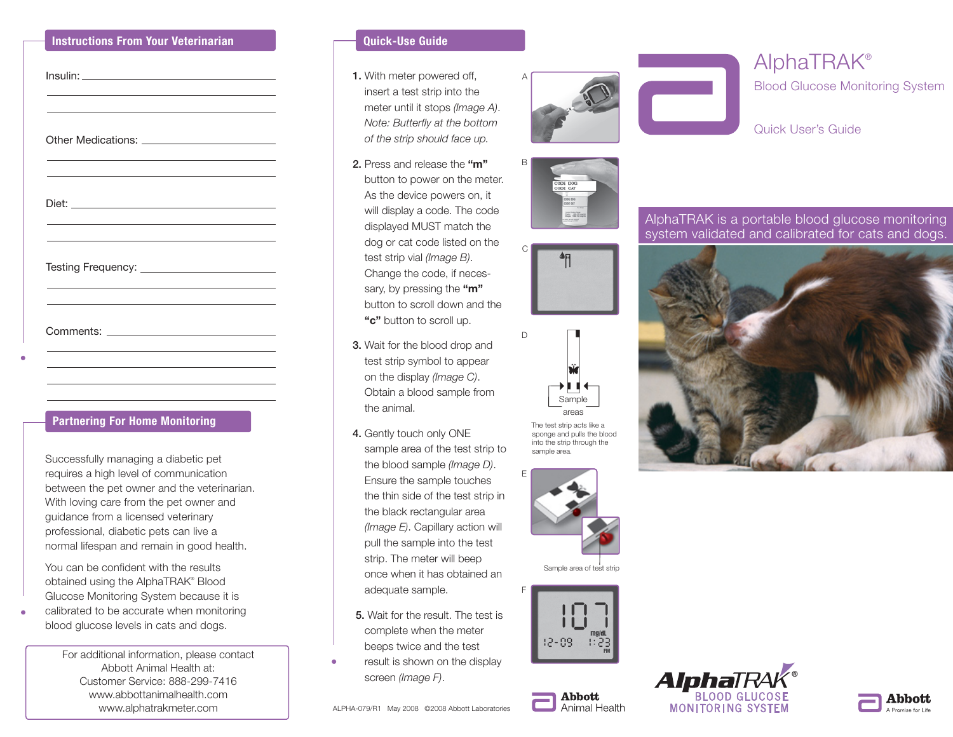#### **Instructions From Your Veterinarian**

## **Partnering For Home Monitoring**

Successfully managing a diabetic pet requires a high level of communication between the pet owner and the veterinarian. With loving care from the pet owner and guidance from a licensed veterinary professional, diabetic pets can live a normal lifespan and remain in good health.

You can be confident with the results obtained using the AlphaTRAK® Blood Glucose Monitoring System because it is calibrated to be accurate when monitoring blood glucose levels in cats and dogs.

> For additional information, please contact Abbott Animal Health at: Customer Service: 888-299-7416 www.abbottanimalhealth.com www.alphatrakmeter.com

#### **Quick-Use Guide**

- 1. With meter powered off, insert a test strip into the meter until it stops *(Image A)*. *Note: Butterfly at the bottom of the strip should face up.*
- 2. Press and release the **"m"** button to power on the meter. As the device powers on, it will display a code. The code displayed MUST match the dog or cat code listed on the test strip vial *(Image B)*. Change the code, if necessary, by pressing the **"m"** button to scroll down and the **"c"** button to scroll up.
- 3. Wait for the blood drop and test strip symbol to appear on the display *(Image C)*. Obtain a blood sample from the animal.
- 4. Gently touch only ONE sample area of the test strip to the blood sample *(Image D)*. Ensure the sample touches the thin side of the test strip in the black rectangular area *(Image E)*. Capillary action will pull the sample into the test strip. The meter will beep once when it has obtained an adequate sample.
- 5. Wait for the result. The test is complete when the meter beeps twice and the test
- result is shown on the display screen *(Image F)*.

ALPHA-079/R1 May 2008 ©2008 Abbott Laboratories







C

 $\mathsf D$ 

E

F



The test strip acts like a sponge and pulls the blood into the strip through the sample area.



Sample area of test strip



**Abbott** 

Animal Health



# AlphaTRAK® Blood Glucose Monitoring System

Quick User's Guide

AlphaTRAK is a portable blood glucose monitoring system validated and calibrated for cats and dogs.